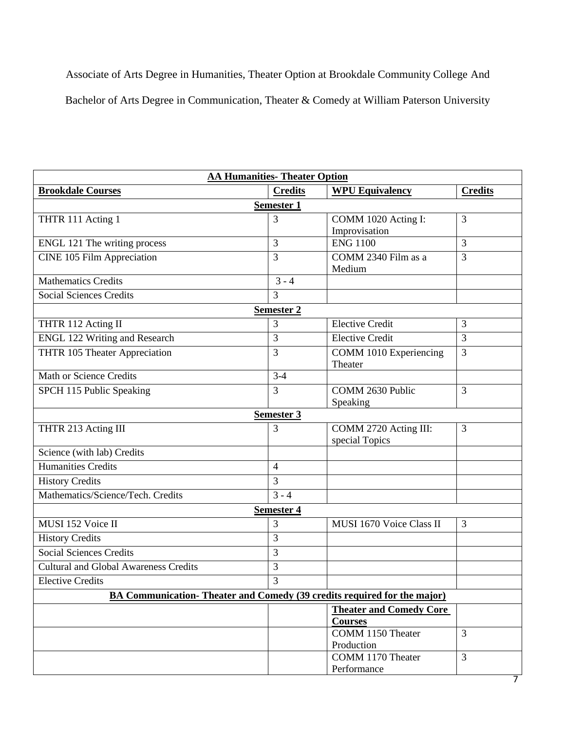Associate of Arts Degree in Humanities, Theater Option at Brookdale Community College And Bachelor of Arts Degree in Communication, Theater & Comedy at William Paterson University

| <b>AA Humanities- Theater Option</b>                                    |                |                                         |                |  |  |
|-------------------------------------------------------------------------|----------------|-----------------------------------------|----------------|--|--|
| <b>Brookdale Courses</b>                                                | <b>Credits</b> | <b>WPU Equivalency</b>                  | <b>Credits</b> |  |  |
| <b>Semester 1</b>                                                       |                |                                         |                |  |  |
| THTR 111 Acting 1                                                       | 3              | COMM 1020 Acting I:                     | $\overline{3}$ |  |  |
|                                                                         |                | Improvisation                           |                |  |  |
| ENGL 121 The writing process                                            | 3              | <b>ENG 1100</b>                         | $\overline{3}$ |  |  |
| CINE 105 Film Appreciation                                              | 3              | COMM 2340 Film as a<br>Medium           | 3              |  |  |
| <b>Mathematics Credits</b>                                              | $3 - 4$        |                                         |                |  |  |
| <b>Social Sciences Credits</b>                                          | 3              |                                         |                |  |  |
| <b>Semester 2</b>                                                       |                |                                         |                |  |  |
| THTR 112 Acting II                                                      | 3              | <b>Elective Credit</b>                  | 3              |  |  |
| <b>ENGL 122 Writing and Research</b>                                    | 3              | <b>Elective Credit</b>                  | 3              |  |  |
| THTR 105 Theater Appreciation                                           | 3              | COMM 1010 Experiencing<br>Theater       | 3              |  |  |
| Math or Science Credits                                                 | $3-4$          |                                         |                |  |  |
| SPCH 115 Public Speaking                                                | 3              | COMM 2630 Public<br>Speaking            | 3              |  |  |
|                                                                         | Semester 3     |                                         |                |  |  |
| THTR 213 Acting III                                                     | 3              | COMM 2720 Acting III:<br>special Topics | 3              |  |  |
| Science (with lab) Credits                                              |                |                                         |                |  |  |
| <b>Humanities Credits</b>                                               | $\overline{4}$ |                                         |                |  |  |
| <b>History Credits</b>                                                  | 3              |                                         |                |  |  |
| Mathematics/Science/Tech. Credits                                       | $3 - 4$        |                                         |                |  |  |
| <b>Semester 4</b>                                                       |                |                                         |                |  |  |
| MUSI 152 Voice II                                                       | 3              | MUSI 1670 Voice Class II                | 3              |  |  |
| <b>History Credits</b>                                                  | 3              |                                         |                |  |  |
| <b>Social Sciences Credits</b>                                          | 3              |                                         |                |  |  |
| <b>Cultural and Global Awareness Credits</b>                            | 3              |                                         |                |  |  |
| <b>Elective Credits</b>                                                 | 3              |                                         |                |  |  |
| BA Communication-Theater and Comedy (39 credits required for the major) |                |                                         |                |  |  |
|                                                                         |                | <b>Theater and Comedy Core</b>          |                |  |  |
|                                                                         |                | <b>Courses</b>                          |                |  |  |
|                                                                         |                | COMM 1150 Theater<br>Production         | $\overline{3}$ |  |  |
|                                                                         |                | COMM 1170 Theater                       | $\overline{3}$ |  |  |
|                                                                         |                | Performance                             |                |  |  |

7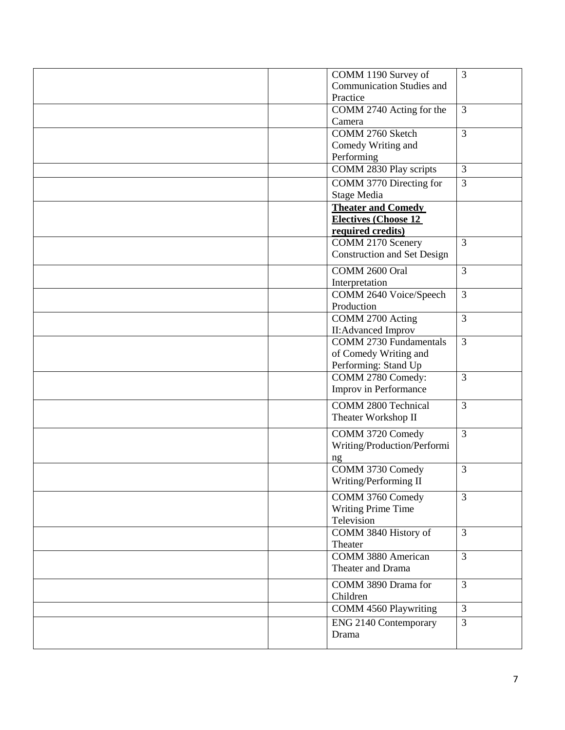|  | COMM 1190 Survey of                | $\mathfrak{Z}$ |
|--|------------------------------------|----------------|
|  | <b>Communication Studies and</b>   |                |
|  | Practice                           |                |
|  | COMM 2740 Acting for the           | $\overline{3}$ |
|  | Camera                             |                |
|  | COMM 2760 Sketch                   | $\overline{3}$ |
|  | Comedy Writing and                 |                |
|  | Performing                         |                |
|  | COMM 2830 Play scripts             | $\mathfrak{Z}$ |
|  | COMM 3770 Directing for            | 3              |
|  | Stage Media                        |                |
|  | <b>Theater and Comedy</b>          |                |
|  | <b>Electives (Choose 12</b>        |                |
|  | required credits)                  |                |
|  | COMM 2170 Scenery                  | $\overline{3}$ |
|  | <b>Construction and Set Design</b> |                |
|  | COMM 2600 Oral                     | $\overline{3}$ |
|  | Interpretation                     |                |
|  | COMM 2640 Voice/Speech             | $\overline{3}$ |
|  | Production                         |                |
|  | COMM 2700 Acting                   | $\overline{3}$ |
|  | <b>II:Advanced Improv</b>          |                |
|  | <b>COMM 2730 Fundamentals</b>      | $\overline{3}$ |
|  | of Comedy Writing and              |                |
|  | Performing: Stand Up               |                |
|  | COMM 2780 Comedy:                  | $\overline{3}$ |
|  | Improv in Performance              |                |
|  | COMM 2800 Technical                | $\overline{3}$ |
|  | Theater Workshop II                |                |
|  |                                    |                |
|  | COMM 3720 Comedy                   | $\mathfrak{Z}$ |
|  | Writing/Production/Performi        |                |
|  | ng                                 |                |
|  | COMM 3730 Comedy                   | $\overline{3}$ |
|  | Writing/Performing II              |                |
|  | COMM 3760 Comedy                   | $\overline{3}$ |
|  | Writing Prime Time                 |                |
|  | Television                         |                |
|  | COMM 3840 History of               | $\overline{3}$ |
|  | Theater                            |                |
|  | COMM 3880 American                 | $\overline{3}$ |
|  | Theater and Drama                  |                |
|  | COMM 3890 Drama for                | $\overline{3}$ |
|  | Children                           |                |
|  | <b>COMM 4560 Playwriting</b>       | $\mathfrak{Z}$ |
|  | <b>ENG 2140 Contemporary</b>       | $\overline{3}$ |
|  | Drama                              |                |
|  |                                    |                |